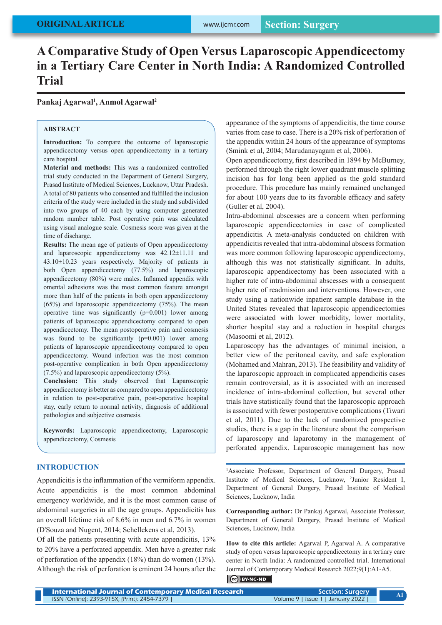# **A Comparative Study of Open Versus Laparoscopic Appendicectomy in a Tertiary Care Center in North India: A Randomized Controlled Trial**

**Pankaj Agarwal1 , Anmol Agarwal2**

## **ABSTRACT**

**Introduction:** To compare the outcome of laparoscopic appendicectomy versus open appendicectomy in a tertiary care hospital.

**Material and methods:** This was a randomized controlled trial study conducted in the Department of General Surgery, Prasad Institute of Medical Sciences, Lucknow, Uttar Pradesh. A total of 80 patients who consented and fulfilled the inclusion criteria of the study were included in the study and subdivided into two groups of 40 each by using computer generated random number table. Post operative pain was calculated using visual analogue scale. Cosmesis score was given at the time of discharge.

**Results:** The mean age of patients of Open appendicectomy and laparoscopic appendicectomy was 42.12±11.11 and 43.10±10.23 years respectively. Majority of patients in both Open appendicectomy (77.5%) and laparoscopic appendicectomy (80%) were males. Inflamed appendix with omental adhesions was the most common feature amongst more than half of the patients in both open appendicectomy (65%) and laparoscopic appendicectomy (75%). The mean operative time was significantly (p=0.001) lower among patients of laparoscopic appendicectomy compared to open appendicectomy. The mean postoperative pain and cosmesis was found to be significantly (p=0.001) lower among patients of laparoscopic appendicectomy compared to open appendicectomy. Wound infection was the most common post-operative complication in both Open appendicectomy (7.5%) and laparoscopic appendicectomy (5%).

**Conclusion:** This study observed that Laparoscopic appendicectomy is better as compared to open appendicectomy in relation to post-operative pain, post-operative hospital stay, early return to normal activity, diagnosis of additional pathologies and subjective cosmesis.

**Keywords:** Laparoscopic appendicectomy, Laparoscopic appendicectomy, Cosmesis

# **INTRODUCTION**

Appendicitis is the inflammation of the vermiform appendix. Acute appendicitis is the most common abdominal emergency worldwide, and it is the most common cause of abdominal surgeries in all the age groups. Appendicitis has an overall lifetime risk of 8.6% in men and 6.7% in women (D'Souza and Nugent, 2014; Schellekens et al, 2013).

Of all the patients presenting with acute appendicitis, 13% to 20% have a perforated appendix. Men have a greater risk of perforation of the appendix (18%) than do women (13%). Although the risk of perforation is eminent 24 hours after the

appearance of the symptoms of appendicitis, the time course varies from case to case. There is a 20% risk of perforation of the appendix within 24 hours of the appearance of symptoms (Smink et al, 2004; Marudanayagam et al, 2006).

Open appendicectomy, first described in 1894 by McBurney, performed through the right lower quadrant muscle splitting incision has for long been applied as the gold standard procedure. This procedure has mainly remained unchanged for about 100 years due to its favorable efficacy and safety (Guller et al, 2004).

Intra-abdominal abscesses are a concern when performing laparoscopic appendicectomies in case of complicated appendicitis. A meta-analysis conducted on children with appendicitis revealed that intra-abdominal abscess formation was more common following laparoscopic appendicectomy, although this was not statistically significant. In adults, laparoscopic appendicectomy has been associated with a higher rate of intra-abdominal abscesses with a consequent higher rate of readmission and interventions. However, one study using a nationwide inpatient sample database in the United States revealed that laparoscopic appendicectomies were associated with lower morbidity, lower mortality, shorter hospital stay and a reduction in hospital charges (Masoomi et al, 2012).

Laparoscopy has the advantages of minimal incision, a better view of the peritoneal cavity, and safe exploration (Mohamed and Mahran, 2013). The feasibility and validity of the laparoscopic approach in complicated appendicitis cases remain controversial, as it is associated with an increased incidence of intra-abdominal collection, but several other trials have statistically found that the laparoscopic approach is associated with fewer postoperative complications (Tiwari et al, 2011). Due to the lack of randomized prospective studies, there is a gap in the literature about the comparison of laparoscopy and laparotomy in the management of perforated appendix. Laparoscopic management has now

<sup>1</sup>Associate Professor, Department of General Durgery, Prasad Institute of Medical Sciences, Lucknow, 2 Junior Resident I, Department of General Durgery, Prasad Institute of Medical Sciences, Lucknow, India

**Corresponding author:** Dr Pankaj Agarwal, Associate Professor, Department of General Durgery, Prasad Institute of Medical Sciences, Lucknow, India

**How to cite this article:** Agarwal P, Agarwal A. A comparative study of open versus laparoscopic appendicectomy in a tertiary care center in North India: A randomized controlled trial. International Journal of Contemporary Medical Research 2022;9(1):A1-A5.

# BY-NC-ND

| <b>International Journal of Contemporary Medical Research /</b> | <b>Section: Surgery</b>           |  |
|-----------------------------------------------------------------|-----------------------------------|--|
| ISSN (Online): 2393-915X; (Print): 2454-7379                    | Volume 9   Issue 1   January 2022 |  |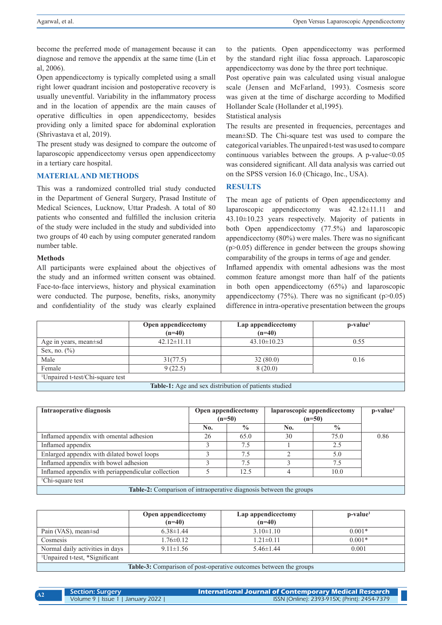become the preferred mode of management because it can diagnose and remove the appendix at the same time (Lin et al, 2006).

Open appendicectomy is typically completed using a small right lower quadrant incision and postoperative recovery is usually uneventful. Variability in the inflammatory process and in the location of appendix are the main causes of operative difficulties in open appendicectomy, besides providing only a limited space for abdominal exploration (Shrivastava et al, 2019).

The present study was designed to compare the outcome of laparoscopic appendicectomy versus open appendicectomy in a tertiary care hospital.

# **MATERIAL AND METHODS**

This was a randomized controlled trial study conducted in the Department of General Surgery, Prasad Institute of Medical Sciences, Lucknow, Uttar Pradesh. A total of 80 patients who consented and fulfilled the inclusion criteria of the study were included in the study and subdivided into two groups of 40 each by using computer generated random number table.

## **Methods**

All participants were explained about the objectives of the study and an informed written consent was obtained. Face-to-face interviews, history and physical examination were conducted. The purpose, benefits, risks, anonymity and confidentiality of the study was clearly explained

to the patients. Open appendicectomy was performed by the standard right iliac fossa approach. Laparoscopic appendicectomy was done by the three port technique.

Post operative pain was calculated using visual analogue scale (Jensen and McFarland, 1993). Cosmesis score was given at the time of discharge according to Modified Hollander Scale (Hollander et al,1995).

#### Statistical analysis

The results are presented in frequencies, percentages and mean±SD. The Chi-square test was used to compare the categorical variables. The unpaired t-test was used to compare continuous variables between the groups. A p-value $<0.05$ was considered significant. All data analysis was carried out on the SPSS version 16.0 (Chicago, Inc., USA).

#### **RESULTS**

The mean age of patients of Open appendicectomy and laparoscopic appendicectomy was 42.12±11.11 and 43.10±10.23 years respectively. Majority of patients in both Open appendicectomy (77.5%) and laparoscopic appendicectomy (80%) were males. There was no significant (p>0.05) difference in gender between the groups showing comparability of the groups in terms of age and gender.

Inflamed appendix with omental adhesions was the most common feature amongst more than half of the patients in both open appendicectomy (65%) and laparoscopic appendicectomy (75%). There was no significant ( $p>0.05$ ) difference in intra-operative presentation between the groups

|                                                              | Open appendicectomy<br>$(n=40)$ | Lap appendicectomy<br>$(n=40)$ | $p-value1$ |  |
|--------------------------------------------------------------|---------------------------------|--------------------------------|------------|--|
| Age in years, mean $\pm$ sd                                  | $42.12 \pm 11.11$               | $43.10 \pm 10.23$              | 0.55       |  |
| Sex, no. $(\% )$                                             |                                 |                                |            |  |
| Male                                                         | 31(77.5)                        | 32(80.0)                       | 0.16       |  |
| Female                                                       | 9(22.5)                         | 8(20.0)                        |            |  |
| <sup>1</sup> Unpaired t-test/Chi-square test                 |                                 |                                |            |  |
| <b>Table-1:</b> Age and sex distribution of patients studied |                                 |                                |            |  |

| Intraoperative diagnosis                                           | Open appendicectomy<br>$(n=50)$ |               | laparoscopic appendicectomy<br>$(n=50)$ |               | $p-value1$ |
|--------------------------------------------------------------------|---------------------------------|---------------|-----------------------------------------|---------------|------------|
|                                                                    | No.                             | $\frac{0}{0}$ | No.                                     | $\frac{0}{0}$ |            |
| Inflamed appendix with omental adhesion                            | 26                              | 65.0          | 30                                      | 75.0          | 0.86       |
| Inflamed appendix                                                  |                                 | 7.5           |                                         | 2.5           |            |
| Enlarged appendix with dilated bowel loops                         |                                 | 7.5           |                                         | 5.0           |            |
| Inflamed appendix with bowel adhesion                              |                                 | 7.5           |                                         | 7.5           |            |
| Inflamed appendix with periappendicular collection                 |                                 | 12.5          |                                         | 10.0          |            |
| <sup>1</sup> Chi-square test                                       |                                 |               |                                         |               |            |
| Table-2: Comparison of intraoperative diagnosis between the groups |                                 |               |                                         |               |            |

**Open appendicectomy (n=40) Lap appendicectomy (n=40) p-value1** Pain (VAS), mean±sd  $6.38\pm1.44$   $3.10\pm1.10$   $0.001*$ Cosmesis 1.76 $\pm$ 0.12 1.21 $\pm$ 0.11 1.21 $\pm$ 0.11 0.001 $\ast$ Normal daily activities in days  $9.11 \pm 1.56$   $5.46 \pm 1.44$   $0.001$ 1 Unpaired t-test, \*Significant **Table-3:** Comparison of post-operative outcomes between the groups

| <b>Section: Surgery</b>           | <b>International Journal of Contemporary Medical Research</b> |
|-----------------------------------|---------------------------------------------------------------|
| Volume 9   Issue 1   January 2022 | ISSN (Online): 2393-915X; (Print): 2454-7379                  |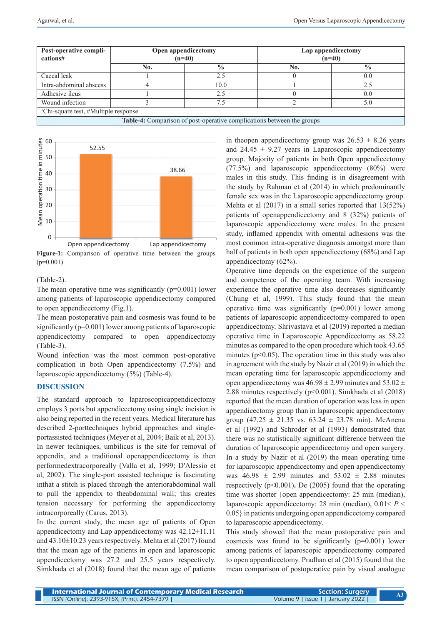| Post-operative compli-<br>cations#                                            | Open appendicectomy<br>$(n=40)$ |               | Lap appendicectomy<br>$(n=40)$ |               |
|-------------------------------------------------------------------------------|---------------------------------|---------------|--------------------------------|---------------|
|                                                                               | No.                             | $\frac{0}{0}$ | No.                            | $\frac{0}{0}$ |
| Caecal leak                                                                   |                                 | 25            |                                | 0.0           |
| Intra-abdominal abscess                                                       |                                 | 10.0          |                                | 2.5           |
| Adhesive ileus                                                                |                                 | 2.5           |                                | 0.0           |
| Wound infection                                                               |                                 | 75            |                                | 5.0           |
| <sup>1</sup> Chi-square test, #Multiple response                              |                                 |               |                                |               |
| <b>Table-4:</b> Comparison of post-operative complications between the groups |                                 |               |                                |               |

Mean operation time in minutes 60 Mean operation time in minutes 52.55 50 38.66 40 30 20 10  $\Omega$ Open appendicectomy Lap appendicectomy

**Figure-1:** Comparison of operative time between the groups  $(p=0.001)$ 

(Table-2).

The mean operative time was significantly  $(p=0.001)$  lower among patients of laparoscopic appendicectomy compared to open appendicectomy (Fig.1).

The mean postoperative pain and cosmesis was found to be significantly ( $p=0.001$ ) lower among patients of laparoscopic appendicectomy compared to open appendicectomy (Table-3).

Wound infection was the most common post-operative complication in both Open appendicectomy (7.5%) and laparoscopic appendicectomy (5%) (Table-4).

# **DISCUSSION**

The standard approach to laparoscopicappendicectomy employs 3 ports but appendicectomy using single incision is also being reported in the recent years. Medical literature has described 2-porttechniques hybrid approaches and singleportassisted techniques (Meyer et al, 2004; Baik et al, 2013). In newer techniques, umbilicus is the site for removal of appendix, and a traditional openappendicectomy is then performedextracorporeally (Valla et al, 1999; D'Alessio et al, 2002). The single-port assisted technique is fascinating inthat a stitch is placed through the anteriorabdominal wall to pull the appendix to theabdominal wall; this creates tension necessary for performing the appendicectomy intracorporeally (Carus, 2013).

In the current study, the mean age of patients of Open appendicectomy and Lap appendicectomy was 42.12±11.11 and 43.10±10.23 years respectively. Mehta et al (2017) found that the mean age of the patients in open and laparoscopic appendicectomy was 27.2 and 25.5 years respectively. Simkhada et al (2018) found that the mean age of patients in theopen appendicectomy group was  $26.53 \pm 8.26$  years and  $24.45 \pm 9.27$  years in Laparoscopic appendicectomy group. Majority of patients in both Open appendicectomy (77.5%) and laparoscopic appendicectomy (80%) were males in this study. This finding is in disagreement with the study by Rahman et al (2014) in which predominantly female sex was in the Laparoscopic appendicectomy group. Mehta et al (2017) in a small series reported that 13(52%) patients of openappendicectomy and 8 (32%) patients of laparoscopic appendicectomy were males. In the present study, inflamed appendix with omental adhesions was the most common intra-operative diagnosis amongst more than half of patients in both open appendicectomy (68%) and Lap appendicectomy (62%).

Operative time depends on the experience of the surgeon and competence of the operating team. With increasing experience the operative time also decreases significantly (Chung et al, 1999). This study found that the mean operative time was significantly  $(p=0.001)$  lower among patients of laparoscopic appendicectomy compared to open appendicectomy. Shrivastava et al (2019) reported a median operative time in Laparoscopic Appendicectomy as 58.22 minutes as compared to the open procedure which took 43.65 minutes ( $p<0.05$ ). The operation time in this study was also in agreement with the study by Nazir et al (2019) in which the mean operating time for laparoscopic appendicectomy and open appendicectomy was  $46.98 \pm 2.99$  minutes and  $53.02 \pm$ 2.88 minutes respectively (p<0.001). Simkhada et al (2018) reported that the mean duration of operation was less in open appendicectomy group than in laparoscopic appendicectomy group  $(47.25 \pm 21.35 \text{ vs. } 63.24 \pm 23.78 \text{ min})$ . McAnena et al (1992) and Schroder et al (1993) demonstrated that there was no statistically significant difference between the duration of laparoscopic appendicectomy and open surgery. In a study by Nazir et al (2019) the mean operating time for laparoscopic appendicectomy and open appendicectomy was  $46.98 \pm 2.99$  minutes and  $53.02 \pm 2.88$  minutes respectively (p<0.001)**.** De (2005) found that the operating time was shorter {open appendicectomy: 25 min (median), laparoscopic appendicectomy: 28 min (median), 0.01< *P* < 0.05} in patients undergoing open appendicectomy compared to laparoscopic appendicectomy.

This study showed that the mean postoperative pain and cosmesis was found to be significantly (p=0.001) lower among patients of laparoscopic appendicectomy compared to open appendicectomy. Pradhan et al (2015) found that the mean comparison of postoperative pain by visual analogue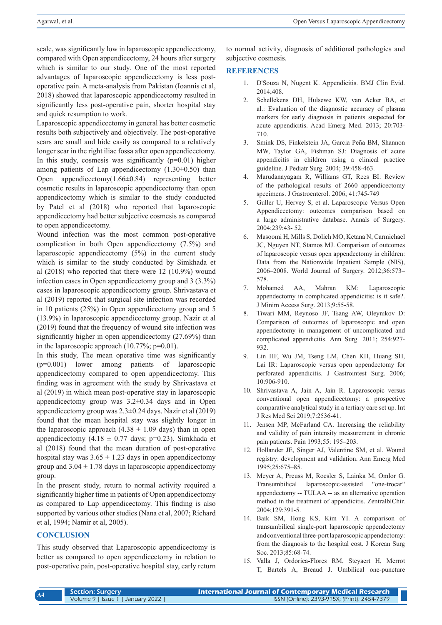scale, was significantly low in laparoscopic appendicectomy, compared with Open appendicectomy, 24 hours after surgery which is similar to our study. One of the most reported advantages of laparoscopic appendicectomy is less postoperative pain. A meta-analysis from Pakistan (Ioannis et al, 2018) showed that laparoscopic appendicectomy resulted in significantly less post-operative pain, shorter hospital stay and quick resumption to work.

Laparoscopic appendicectomy in general has better cosmetic results both subjectively and objectively. The post-operative scars are small and hide easily as compared to a relatively longer scar in the right iliac fossa after open appendicectomy. In this study, cosmesis was significantly  $(p=0.01)$  higher among patients of Lap appendicectomy  $(1.30\pm0.50)$  than Open appendicectomy(1.66±0.84) representing better cosmetic results in laparoscopic appendicectomy than open appendicectomy which is similar to the study conducted by Patel et al (2018) who reported that laparoscopic appendicectomy had better subjective cosmesis as compared to open appendicectomy.

Wound infection was the most common post-operative complication in both Open appendicectomy (7.5%) and laparoscopic appendicectomy (5%) in the current study which is similar to the study conducted by Simkhada et al (2018) who reported that there were 12 (10.9%) wound infection cases in Open appendicectomy group and 3 (3.3%) cases in laparoscopic appendicectomy group. Shrivastava et al (2019) reported that surgical site infection was recorded in 10 patients (25%) in Open appendicectomy group and 5 (13.9%) in laparoscopic appendicectomy group. Nazir et al (2019) found that the frequency of wound site infection was significantly higher in open appendicectomy (27.69%) than in the laparoscopic approach  $(10.77\%; p=0.01)$ .

In this study, The mean operative time was significantly (p=0.001) lower among patients of laparoscopic appendicectomy compared to open appendicectomy. This finding was in agreement with the study by Shrivastava et al (2019) in which mean post-operative stay in laparoscopic appendicectomy group was  $3.2\pm0.34$  days and in Open appendicectomy group was 2.3±0.24 days. Nazir et al (2019) found that the mean hospital stay was slightly longer in the laparoscopic approach  $(4.38 \pm 1.09$  days) than in open appendicectomy  $(4.18 \pm 0.77 \text{ days}; \text{ p=0.23}).$  Simkhada et al (2018) found that the mean duration of post-operative hospital stay was  $3.65 \pm 1.23$  days in open appendicectomy group and  $3.04 \pm 1.78$  days in laparoscopic appendicectomy group.

In the present study, return to normal activity required a significantly higher time in patients of Open appendicectomy as compared to Lap appendicectomy. This finding is also supported by various other studies (Nana et al, 2007; Richard et al, 1994; Namir et al, 2005).

## **CONCLUSION**

**A4**

This study observed that Laparoscopic appendicectomy is better as compared to open appendicectomy in relation to post-operative pain, post-operative hospital stay, early return to normal activity, diagnosis of additional pathologies and subjective cosmesis.

# **REFERENCES**

- 1. D'Souza N, Nugent K. Appendicitis. BMJ Clin Evid. 2014;408.
- 2. Schellekens DH, Hulsewe KW, van Acker BA, et al.: Evaluation of the diagnostic accuracy of plasma markers for early diagnosis in patients suspected for acute appendicitis. Acad Emerg Med. 2013; 20:703- 710.
- 3. Smink DS, Finkelstein JA, Garcia Peña BM, Shannon MW, Taylor GA, Fishman SJ: Diagnosis of acute appendicitis in children using a clinical practice guideline. J Pediatr Surg. 2004; 39:458-463.
- 4. Marudanayagam R, Williams GT, Rees BI: Review of the pathological results of 2660 appendicectomy specimens. J Gastroenterol. 2006; 41:745-749
- 5. Guller U, Hervey S, et al. Laparoscopic Versus Open Appendicectomy: outcomes comparison based on a large administrative database. Annals of Surgery. 2004;239:43- 52.
- 6. Masoomi H, Mills S, Dolich MO, Ketana N, Carmichael JC, Nguyen NT, Stamos MJ. Comparison of outcomes of laparoscopic versus open appendectomy in children: Data from the Nationwide Inpatient Sample (NIS), 2006–2008. World Journal of Surgery. 2012;36:573– 578.
- 7. Mohamed AA, Mahran KM: Laparoscopic appendectomy in complicated appendicitis: is it safe?. J Minim Access Surg. 2013;9:55-58.
- 8. Tiwari MM, Reynoso JF, Tsang AW, Oleynikov D: Comparison of outcomes of laparoscopic and open appendectomy in management of uncomplicated and complicated appendicitis. Ann Surg. 2011; 254:927- 932.
- 9. Lin HF, Wu JM, Tseng LM, Chen KH, Huang SH, Lai IR: Laparoscopic versus open appendectomy for perforated appendicitis. J Gastrointest Surg. 2006; 10:906-910.
- 10. Shrivastava A, Jain A, Jain R. Laparoscopic versus conventional open appendicectomy: a prospective comparative analytical study in a tertiary care set up. Int J Res Med Sci 2019;7:2536-41.
- 11. Jensen MP, McFarland CA. Increasing the reliability and validity of pain intensity measurement in chronic pain patients. Pain 1993;55: 195–203.
- 12. Hollander JE, Singer AJ, Valentine SM, et al. Wound registry: development and validation. Ann Emerg Med 1995;25:675–85.
- 13. Meyer A, Preuss M, Roesler S, Lainka M, Omlor G. Transumbilical laparoscopic-assisted "one-trocar" appendectomy -- TULAA -- as an alternative operation method in the treatment of appendicitis. ZentralblChir. 2004;129:391-5.
- 14. Baik SM, Hong KS, Kim YI. A comparison of transumbilical single-port laparoscopic appendectomy and conventional three-port laparoscopic appendectomy: from the diagnosis to the hospital cost. J Korean Surg Soc. 2013;85:68-74.
- 15. Valla J, Ordorica-Flores RM, Steyaert H, Merrot T, Bartels A, Breaud J. Umbilical one-puncture